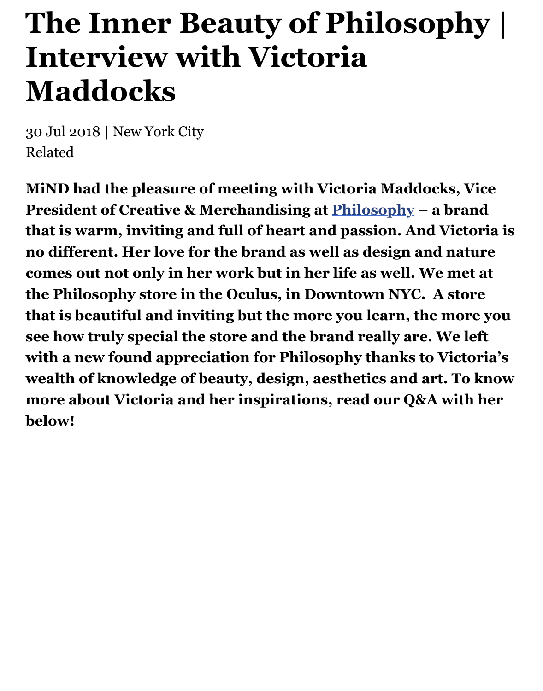#### **Maddocks**

30 Jul 2018 | New York City Related

**MiND had the pleasure of meeting with Victoria Maddocks, President of Creative & Merchandising at Philosophy – a br** that is warm, inviting and full of heart and passion. And Vic no different. Her love for the brand as well as design and na comes out not only in her work but in her life as well. We m **the Philosophy store in the Oculus, in Do[wntown NYC](http://www.philosophy.com/). A store that is beautiful and inviting but the more you learn, the more you** see how truly special the store and the brand really are. We with a new found appreciation for Philosophy thanks to Vic wealth of knowledge of beauty, design, aesthetics and art. T **more about Victoria and her inspirations, read our Q&A with her below!**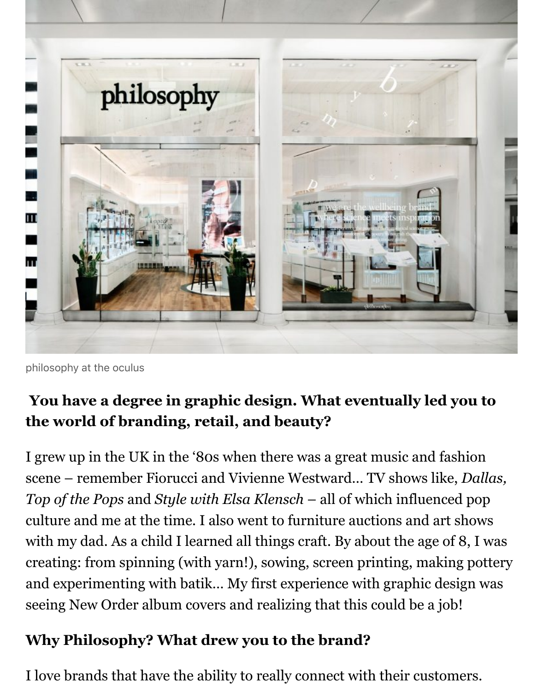

philosophy at the oculus

### **You have a degree in graphic design. What eventually led you to the world of branding, retail, and beauty?**

I grew up in the UK in the '80s when there was a great music and fashion scene – remember Fiorucci and Vivienne Westward… TV shows like, *Dallas, Top of the Pops* and *Style with Elsa Klensch* – all of which influenced pop culture and me at the time*.* I also went to furniture auctions and art shows with my dad. As a child I learned all things craft. By about the age of 8, I was creating: from spinning (with yarn!), sowing, screen printing, making pottery and experimenting with batik… My first experience with graphic design was seeing New Order album covers and realizing that this could be a job!

#### **Why Philosophy? What drew you to the brand?**

I love brands that have the ability to really connect with their customers.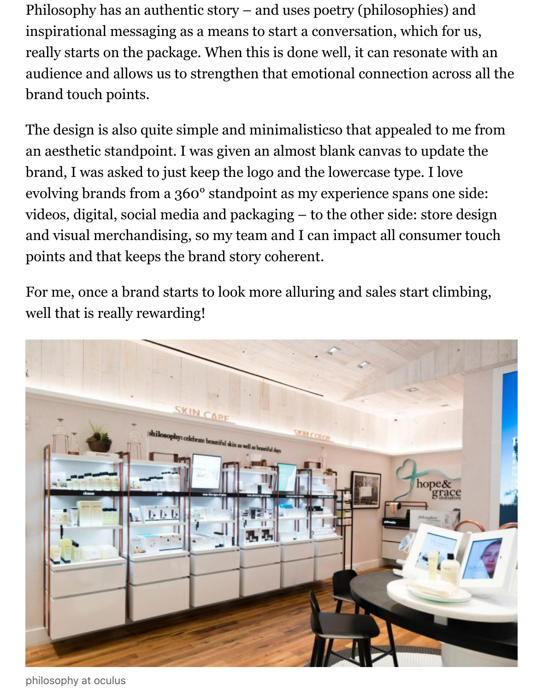Philosophy has an authentic story – and uses poetry (philosophies) and inspirational messaging as a means to start a conversation, which for us, really starts on the package. When this is done well, it can resonate with an audience and allows us to strengthen that emotional connection across all the brand touch points.

The design is also quite simple and minimalisticso that appealed to me from an aesthetic standpoint. I was given an almost blank canvas to update the brand, I was asked to just keep the logo and the lowercase type. I love evolving brands from a 360° standpoint as my experience spans one side: videos, digital, social media and packaging – to the other side: store design and visual merchandising, so my team and I can impact all consumer touch points and that keeps the brand story coherent.

For me, once a brand starts to look more alluring and sales start climbing, well that is really rewarding!



philosophy at oculus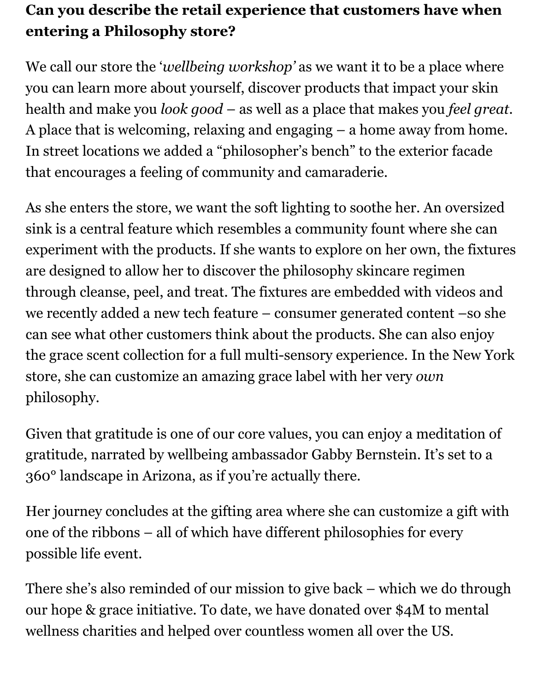# **Can you describe the retail experience that customers have when entering a Philosophy store?**

We call our store the '*wellbeing workshop'* as we want it to be a place where you can learn more about yourself, discover products that impact your skin health and make you *look good* – as well as a place that makes you *feel great*. A place that is welcoming, relaxing and engaging – a home away from home. In street locations we added a "philosopher's bench" to the exterior facade that encourages a feeling of community and camaraderie.

As she enters the store, we want the soft lighting to soothe her. An oversized sink is a central feature which resembles a community fount where she can experiment with the products. If she wants to explore on her own, the fixtures are designed to allow her to discover the philosophy skincare regimen through cleanse, peel, and treat. The fixtures are embedded with videos and we recently added a new tech feature – consumer generated content –so she can see what other customers think about the products. She can also enjoy the grace scent collection for a full multi-sensory experience. In the New York store, she can customize an amazing grace label with her very *own* philosophy.

Given that gratitude is one of our core values, you can enjoy a meditation of gratitude, narrated by wellbeing ambassador Gabby Bernstein. It's set to a 360° landscape in Arizona, as if you're actually there.

Her journey concludes at the gifting area where she can customize a gift with one of the ribbons – all of which have different philosophies for every possible life event.

There she's also reminded of our mission to give back – which we do through our hope & grace initiative. To date, we have donated over \$4M to mental wellness charities and helped over countless women all over the US.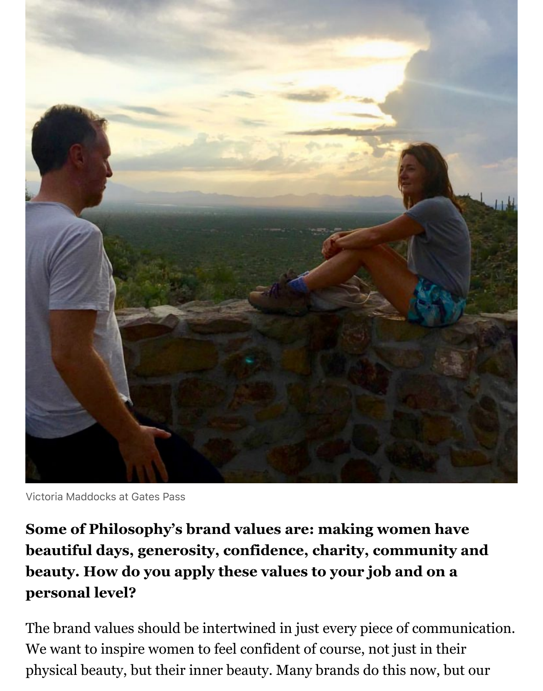

Victoria Maddocks at Gates Pass

**Some of Philosophy's brand values are: making women have beautiful days, generosity, confidence, charity, community and beauty. How do you apply these values to your job and on a personal level?**

The brand values should be intertwined in just every piece of communication. We want to inspire women to feel confident of course, not just in their physical beauty, but their inner beauty. Many brands do this now, but our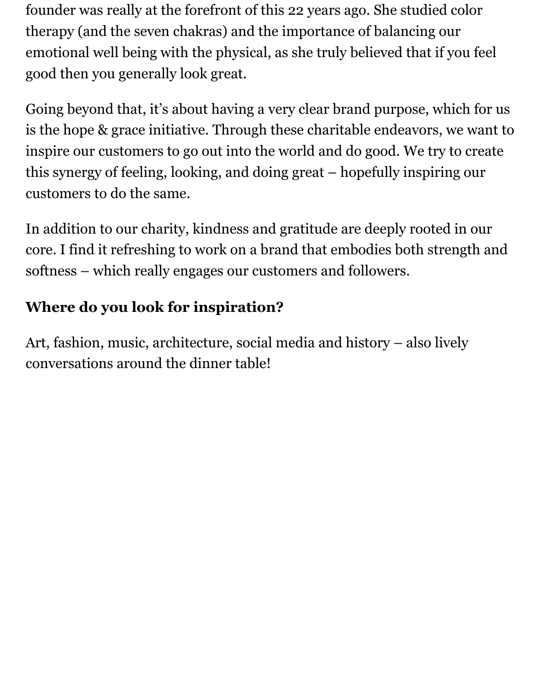founder was really at the forefront of this 22 years ago. She studied color therapy (and the seven chakras) and the importance of balancing our emotional well being with the physical, as she truly believed that if you feel good then you generally look great.

Going beyond that, it's about having a very clear brand purpose, which for us is the hope & grace initiative. Through these charitable endeavors, we want to inspire our customers to go out into the world and do good. We try to create this synergy of feeling, looking, and doing great – hopefully inspiring our customers to do the same.

In addition to our charity, kindness and gratitude are deeply rooted in our core. I find it refreshing to work on a brand that embodies both strength and softness – which really engages our customers and followers.

### **Where do you look for inspiration?**

Art, fashion, music, architecture, social media and history – also lively conversations around the dinner table!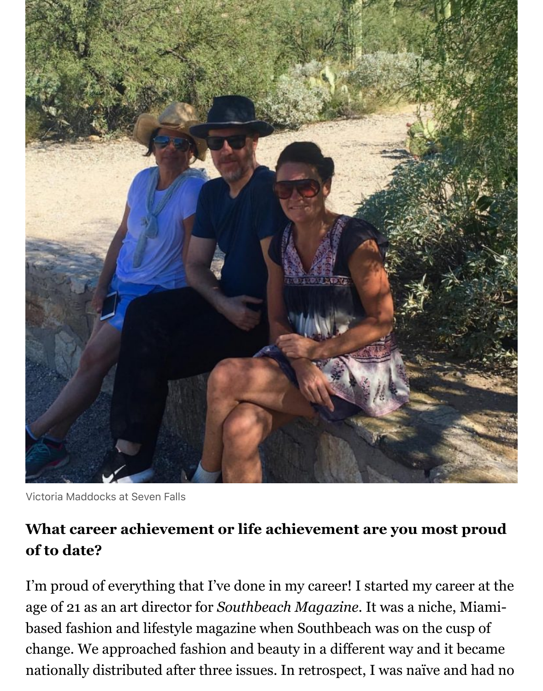

Victoria Maddocks at Seven Falls

#### **What career achievement or life achievement are you most proud of to date?**

I'm proud of everything that I've done in my career! I started my career at the age of 21 as an art director for *Southbeach Magazine.* It was a niche, Miamibased fashion and lifestyle magazine when Southbeach was on the cusp of change. We approached fashion and beauty in a different way and it became nationally distributed after three issues. In retrospect, I was naïve and had no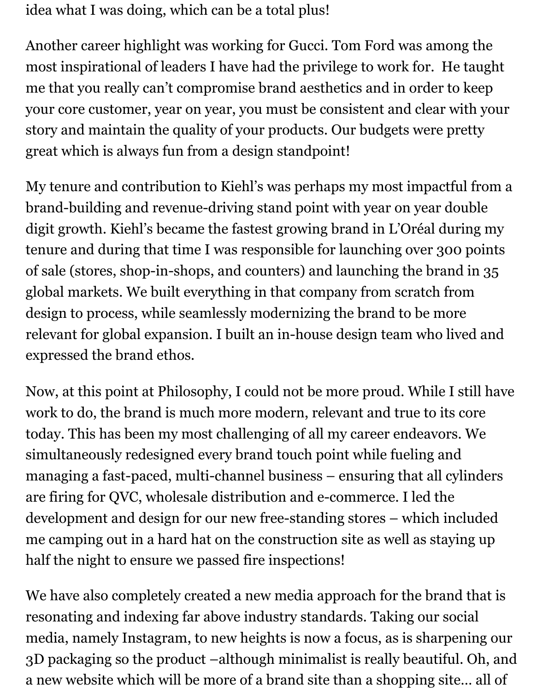idea what I was doing, which can be a total plus!

Another career highlight was working for Gucci. Tom Ford was among the most inspirational of leaders I have had the privilege to work for. He taught me that you really can't compromise brand aesthetics and in order to keep your core customer, year on year, you must be consistent and clear with your story and maintain the quality of your products. Our budgets were pretty great which is always fun from a design standpoint!

My tenure and contribution to Kiehl's was perhaps my most impactful from a brand-building and revenue-driving stand point with year on year double digit growth. Kiehl's became the fastest growing brand in L'Oréal during my tenure and during that time I was responsible for launching over 300 points of sale (stores, shop-in-shops, and counters) and launching the brand in 35 global markets. We built everything in that company from scratch from design to process, while seamlessly modernizing the brand to be more relevant for global expansion. I built an in-house design team who lived and expressed the brand ethos.

Now, at this point at Philosophy, I could not be more proud. While I still have work to do, the brand is much more modern, relevant and true to its core today. This has been my most challenging of all my career endeavors. We simultaneously redesigned every brand touch point while fueling and managing a fast-paced, multi-channel business – ensuring that all cylinders are firing for QVC, wholesale distribution and e-commerce. I led the development and design for our new free-standing stores – which included me camping out in a hard hat on the construction site as well as staying up half the night to ensure we passed fire inspections!

We have also completely created a new media approach for the brand that is resonating and indexing far above industry standards. Taking our social media, namely Instagram, to new heights is now a focus, as is sharpening our 3D packaging so the product –although minimalist is really beautiful. Oh, and a new website which will be more of a brand site than a shopping site… all of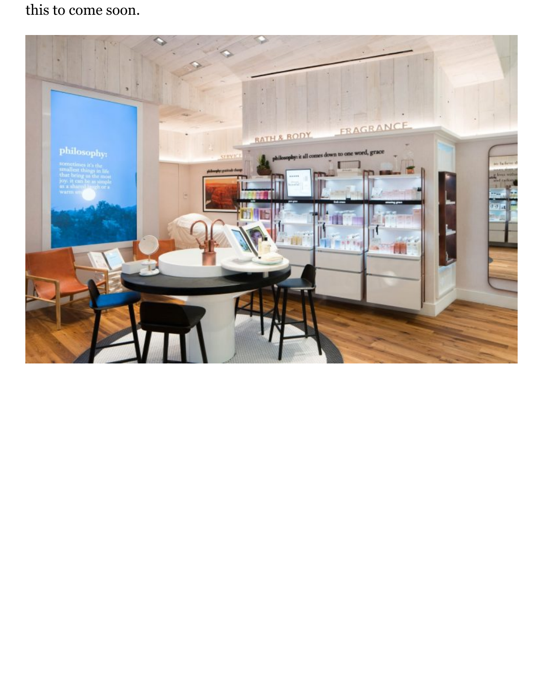#### this to come soon.

![](_page_8_Picture_1.jpeg)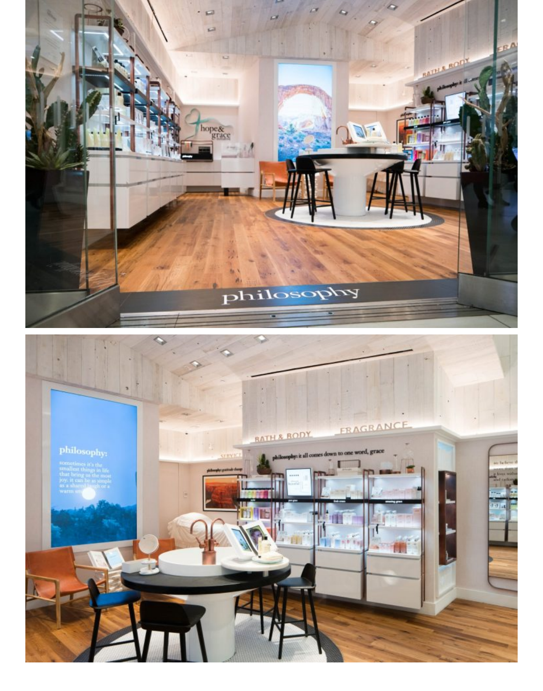![](_page_9_Picture_0.jpeg)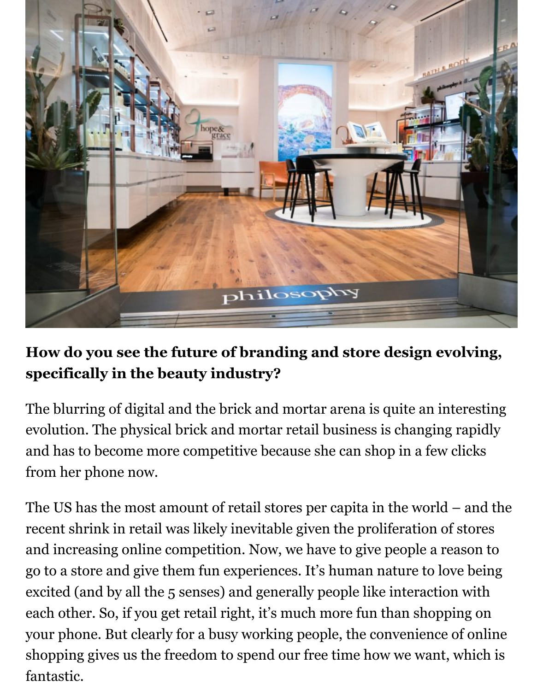![](_page_10_Picture_0.jpeg)

# **How do you see the future of branding and store design evolving, specifically in the beauty industry?**

The blurring of digital and the brick and mortar arena is quite an interesting evolution. The physical brick and mortar retail business is changing rapidly and has to become more competitive because she can shop in a few clicks from her phone now.

The US has the most amount of retail stores per capita in the world – and the recent shrink in retail was likely inevitable given the proliferation of stores and increasing online competition. Now, we have to give people a reason to go to a store and give them fun experiences. It's human nature to love being excited (and by all the 5 senses) and generally people like interaction with each other. So, if you get retail right, it's much more fun than shopping on your phone. But clearly for a busy working people, the convenience of online shopping gives us the freedom to spend our free time how we want, which is fantastic.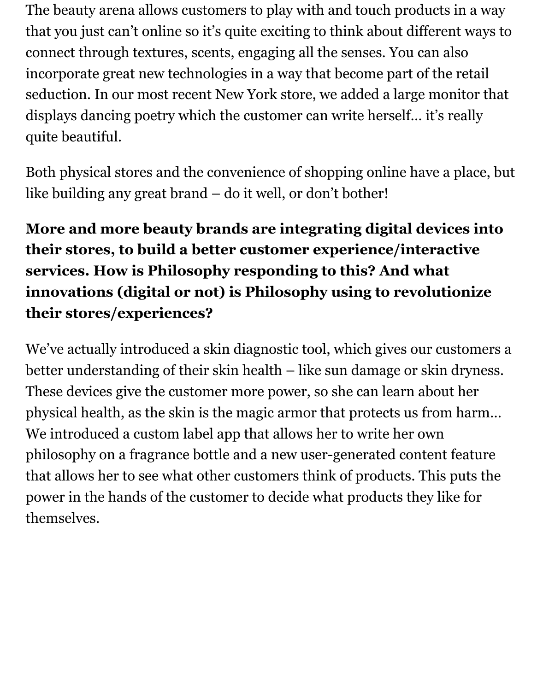The beauty arena allows customers to play with and touch products in a way that you just can't online so it's quite exciting to think about different ways to connect through textures, scents, engaging all the senses. You can also incorporate great new technologies in a way that become part of the retail seduction. In our most recent New York store, we added a large monitor that displays dancing poetry which the customer can write herself… it's really quite beautiful.

Both physical stores and the convenience of shopping online have a place, but like building any great brand – do it well, or don't bother!

# **More and more beauty brands are integrating digital devices into their stores, to build a better customer experience/interactive services. How is Philosophy responding to this? And what innovations (digital or not) is Philosophy using to revolutionize their stores/experiences?**

We've actually introduced a skin diagnostic tool, which gives our customers a better understanding of their skin health – like sun damage or skin dryness. These devices give the customer more power, so she can learn about her physical health, as the skin is the magic armor that protects us from harm… We introduced a custom label app that allows her to write her own philosophy on a fragrance bottle and a new user-generated content feature that allows her to see what other customers think of products. This puts the power in the hands of the customer to decide what products they like for themselves.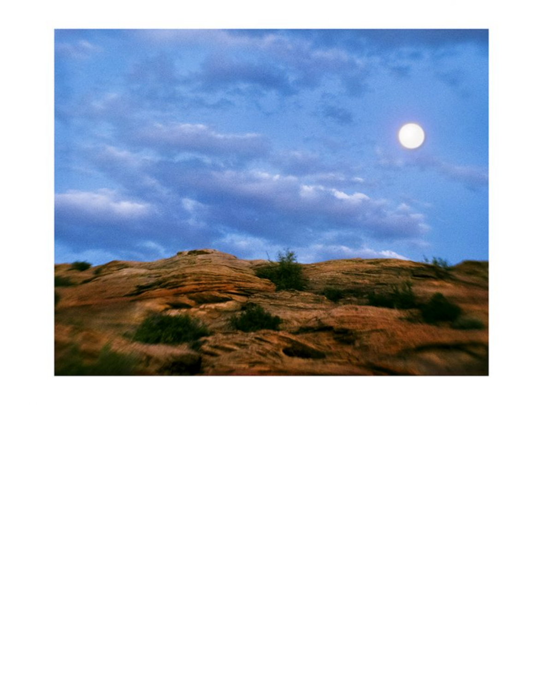![](_page_12_Picture_0.jpeg)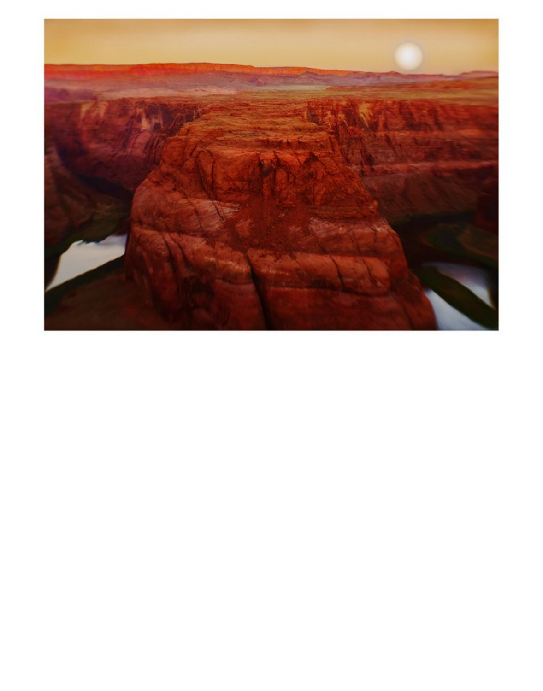![](_page_13_Picture_0.jpeg)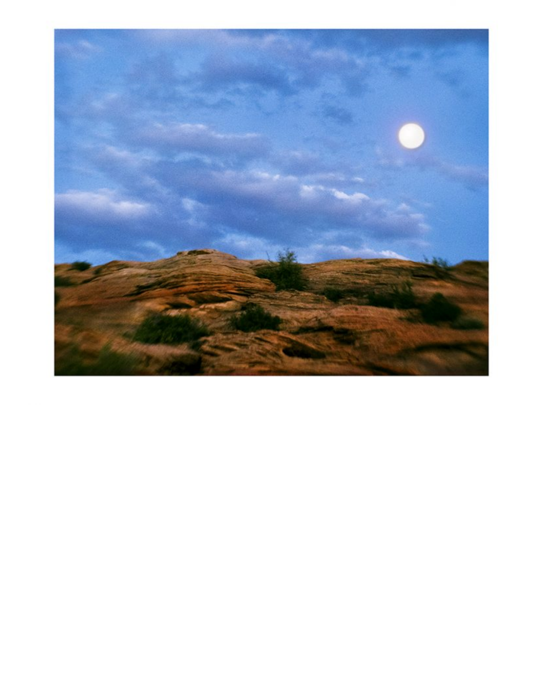![](_page_14_Picture_0.jpeg)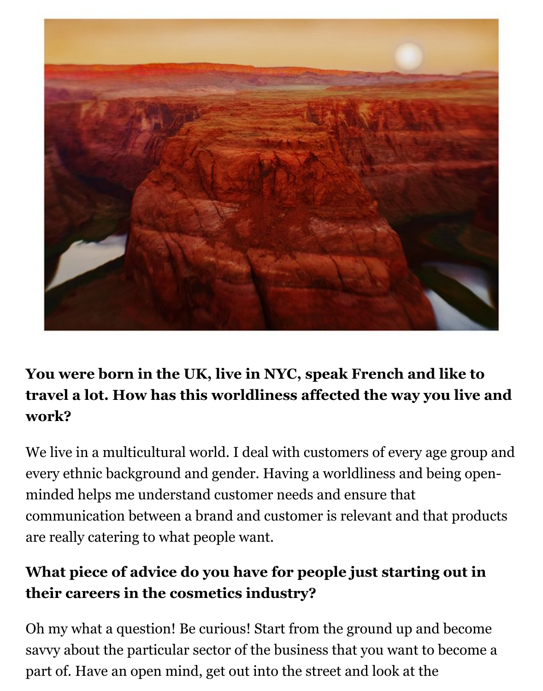![](_page_15_Picture_0.jpeg)

# **You were born in the UK, live in NYC, speak French and like to travel a lot. How has this worldliness affected the way you live and work?**

We live in a multicultural world. I deal with customers of every age group and every ethnic background and gender. Having a worldliness and being openminded helps me understand customer needs and ensure that communication between a brand and customer is relevant and that products are really catering to what people want.

# **What piece of advice do you have for people just starting out in their careers in the cosmetics industry?**

Oh my what a question! Be curious! Start from the ground up and become savvy about the particular sector of the business that you want to become a part of. Have an open mind, get out into the street and look at the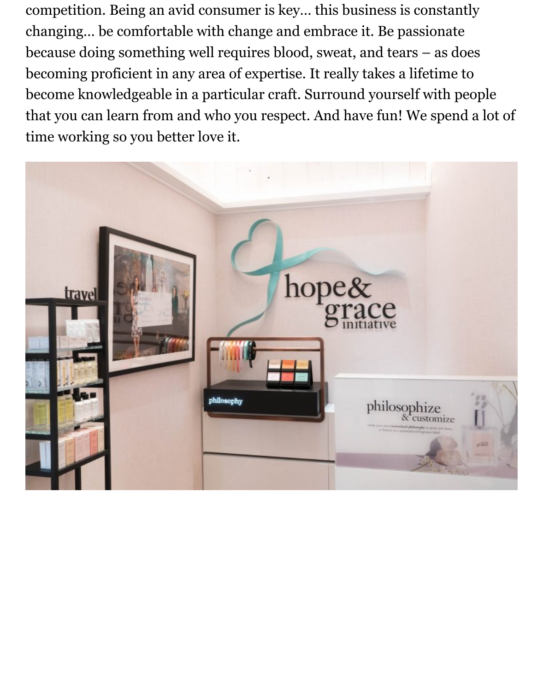competition. Being an avid consumer is key… this business is constantly changing… be comfortable with change and embrace it. Be passionate because doing something well requires blood, sweat, and tears – as does becoming proficient in any area of expertise. It really takes a lifetime to become knowledgeable in a particular craft. Surround yourself with people that you can learn from and who you respect. And have fun! We spend a lot of time working so you better love it.

![](_page_16_Picture_1.jpeg)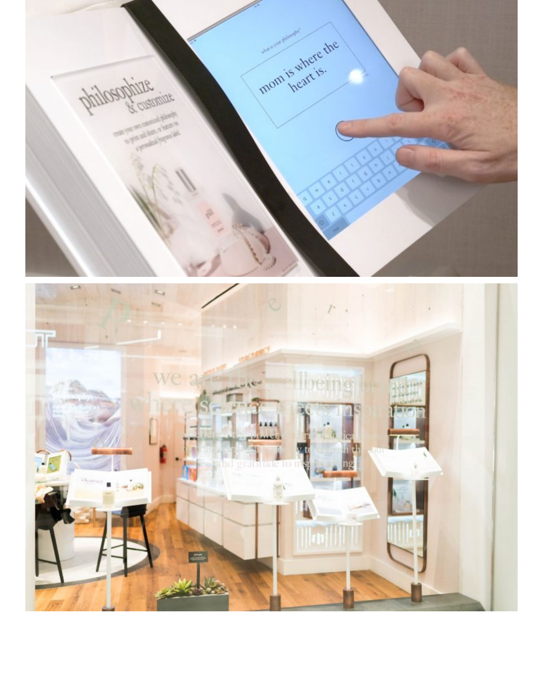![](_page_17_Picture_0.jpeg)

![](_page_17_Picture_1.jpeg)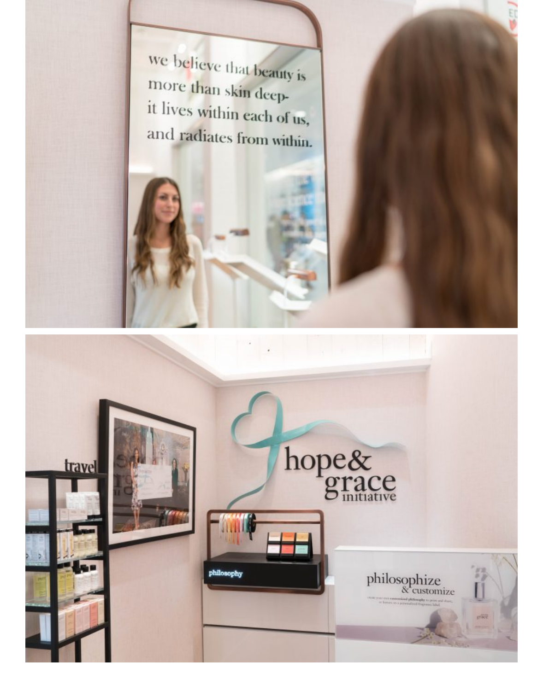we believe that beauty is more than skin deepit lives within each of us, and radiates from within.

![](_page_18_Picture_1.jpeg)